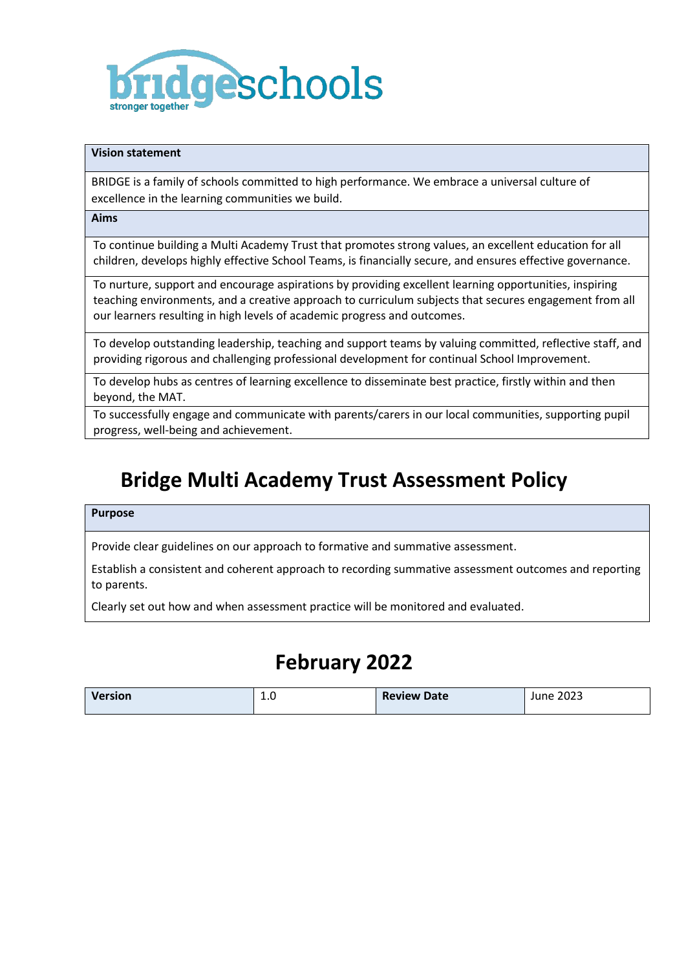

## **Vision statement**

BRIDGE is a family of schools committed to high performance. We embrace a universal culture of excellence in the learning communities we build.

**Aims** 

To continue building a Multi Academy Trust that promotes strong values, an excellent education for all children, develops highly effective School Teams, is financially secure, and ensures effective governance.

To nurture, support and encourage aspirations by providing excellent learning opportunities, inspiring teaching environments, and a creative approach to curriculum subjects that secures engagement from all our learners resulting in high levels of academic progress and outcomes.

To develop outstanding leadership, teaching and support teams by valuing committed, reflective staff, and providing rigorous and challenging professional development for continual School Improvement.

To develop hubs as centres of learning excellence to disseminate best practice, firstly within and then beyond, the MAT.

To successfully engage and communicate with parents/carers in our local communities, supporting pupil progress, well-being and achievement.

# **Bridge Multi Academy Trust Assessment Policy**

#### **Purpose**

Provide clear guidelines on our approach to formative and summative assessment.

Establish a consistent and coherent approach to recording summative assessment outcomes and reporting to parents.

Clearly set out how and when assessment practice will be monitored and evaluated.

# **February 2022**

| <b>Version</b> | ⊥.∪<br>__ | <b>Review Date</b> | June 2023 |
|----------------|-----------|--------------------|-----------|
|                |           |                    |           |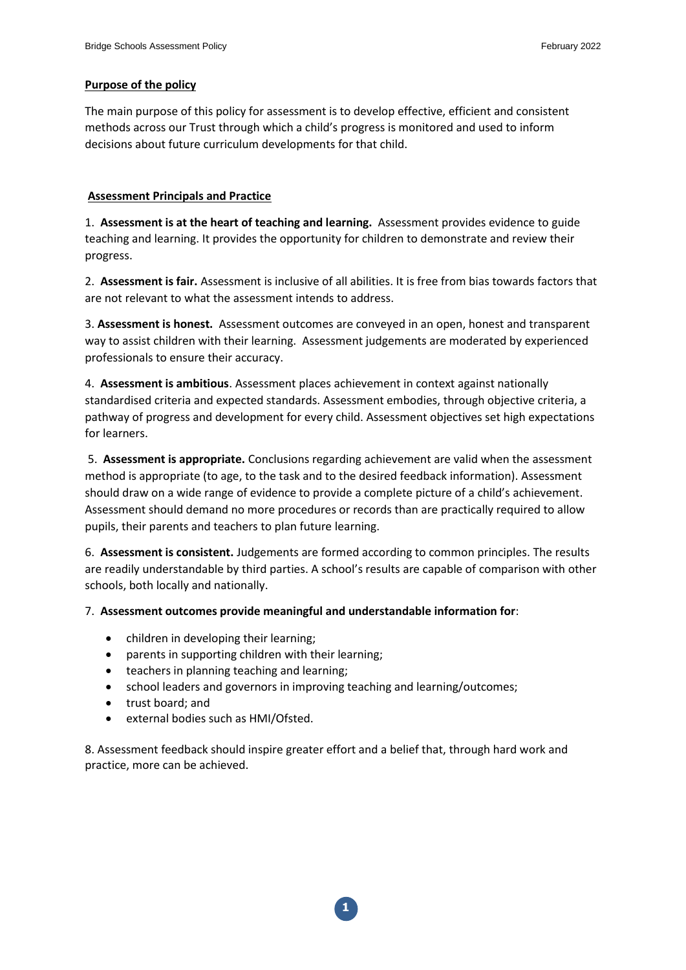# **Purpose of the policy**

The main purpose of this policy for assessment is to develop effective, efficient and consistent methods across our Trust through which a child's progress is monitored and used to inform decisions about future curriculum developments for that child.

## **Assessment Principals and Practice**

1. **Assessment is at the heart of teaching and learning.** Assessment provides evidence to guide teaching and learning. It provides the opportunity for children to demonstrate and review their progress.

2. **Assessment is fair.** Assessment is inclusive of all abilities. It is free from bias towards factors that are not relevant to what the assessment intends to address.

3. **Assessment is honest.** Assessment outcomes are conveyed in an open, honest and transparent way to assist children with their learning. Assessment judgements are moderated by experienced professionals to ensure their accuracy.

4. **Assessment is ambitious**. Assessment places achievement in context against nationally standardised criteria and expected standards. Assessment embodies, through objective criteria, a pathway of progress and development for every child. Assessment objectives set high expectations for learners.

5. **Assessment is appropriate.** Conclusions regarding achievement are valid when the assessment method is appropriate (to age, to the task and to the desired feedback information). Assessment should draw on a wide range of evidence to provide a complete picture of a child's achievement. Assessment should demand no more procedures or records than are practically required to allow pupils, their parents and teachers to plan future learning.

6. **Assessment is consistent.** Judgements are formed according to common principles. The results are readily understandable by third parties. A school's results are capable of comparison with other schools, both locally and nationally.

## 7. **Assessment outcomes provide meaningful and understandable information for**:

- children in developing their learning;
- parents in supporting children with their learning;
- teachers in planning teaching and learning;
- school leaders and governors in improving teaching and learning/outcomes;
- trust board; and
- external bodies such as HMI/Ofsted.

8. Assessment feedback should inspire greater effort and a belief that, through hard work and practice, more can be achieved.

**1**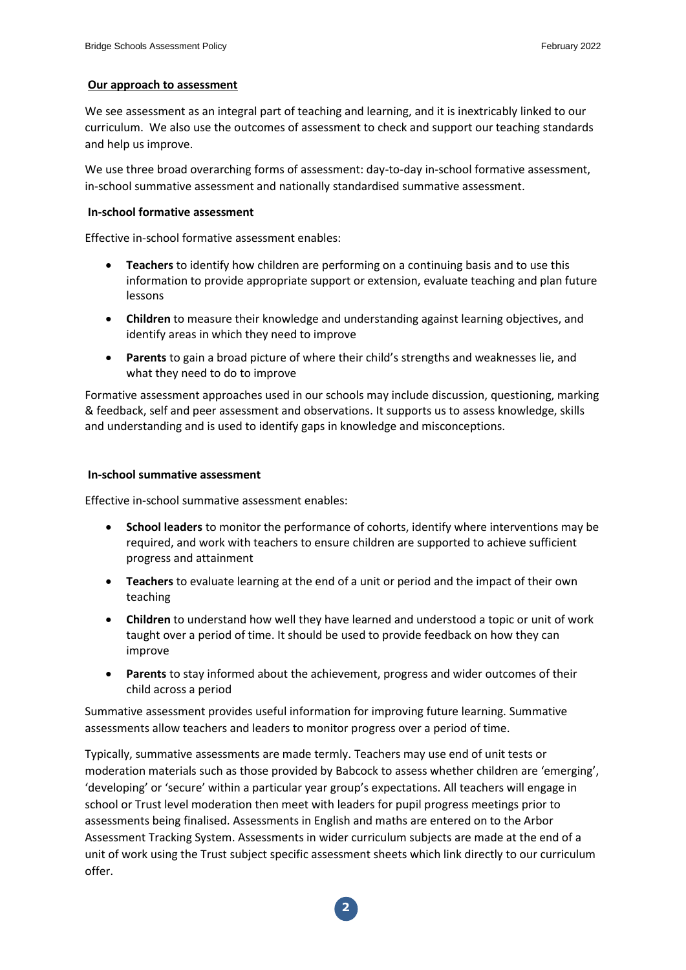## **Our approach to assessment**

We see assessment as an integral part of teaching and learning, and it is inextricably linked to our curriculum. We also use the outcomes of assessment to check and support our teaching standards and help us improve.

We use three broad overarching forms of assessment: day-to-day in-school formative assessment, in-school summative assessment and nationally standardised summative assessment.

#### **In-school formative assessment**

Effective in-school formative assessment enables:

- **Teachers** to identify how children are performing on a continuing basis and to use this information to provide appropriate support or extension, evaluate teaching and plan future lessons
- **Children** to measure their knowledge and understanding against learning objectives, and identify areas in which they need to improve
- **Parents** to gain a broad picture of where their child's strengths and weaknesses lie, and what they need to do to improve

Formative assessment approaches used in our schools may include discussion, questioning, marking & feedback, self and peer assessment and observations. It supports us to assess knowledge, skills and understanding and is used to identify gaps in knowledge and misconceptions.

## **In-school summative assessment**

Effective in-school summative assessment enables:

- **School leaders** to monitor the performance of cohorts, identify where interventions may be required, and work with teachers to ensure children are supported to achieve sufficient progress and attainment
- **Teachers** to evaluate learning at the end of a unit or period and the impact of their own teaching
- **Children** to understand how well they have learned and understood a topic or unit of work taught over a period of time. It should be used to provide feedback on how they can improve
- **Parents** to stay informed about the achievement, progress and wider outcomes of their child across a period

Summative assessment provides useful information for improving future learning. Summative assessments allow teachers and leaders to monitor progress over a period of time.

Typically, summative assessments are made termly. Teachers may use end of unit tests or moderation materials such as those provided by Babcock to assess whether children are 'emerging', 'developing' or 'secure' within a particular year group's expectations. All teachers will engage in school or Trust level moderation then meet with leaders for pupil progress meetings prior to assessments being finalised. Assessments in English and maths are entered on to the Arbor Assessment Tracking System. Assessments in wider curriculum subjects are made at the end of a unit of work using the Trust subject specific assessment sheets which link directly to our curriculum offer.

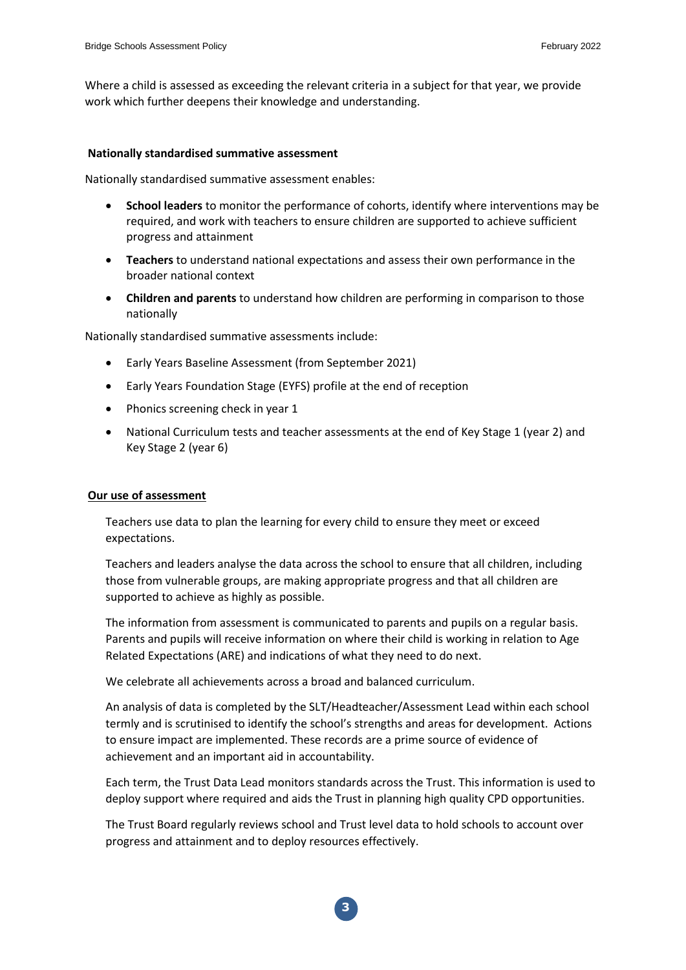Where a child is assessed as exceeding the relevant criteria in a subject for that year, we provide work which further deepens their knowledge and understanding.

#### **Nationally standardised summative assessment**

Nationally standardised summative assessment enables:

- **School leaders** to monitor the performance of cohorts, identify where interventions may be required, and work with teachers to ensure children are supported to achieve sufficient progress and attainment
- **Teachers** to understand national expectations and assess their own performance in the broader national context
- **Children and parents** to understand how children are performing in comparison to those nationally

Nationally standardised summative assessments include:

- Early Years Baseline Assessment (from September 2021)
- Early Years Foundation Stage (EYFS) profile at the end of reception
- Phonics screening check in year 1
- National Curriculum tests and teacher assessments at the end of Key Stage 1 (year 2) and Key Stage 2 (year 6)

#### **Our use of assessment**

Teachers use data to plan the learning for every child to ensure they meet or exceed expectations.

Teachers and leaders analyse the data across the school to ensure that all children, including those from vulnerable groups, are making appropriate progress and that all children are supported to achieve as highly as possible.

The information from assessment is communicated to parents and pupils on a regular basis. Parents and pupils will receive information on where their child is working in relation to Age Related Expectations (ARE) and indications of what they need to do next.

We celebrate all achievements across a broad and balanced curriculum.

An analysis of data is completed by the SLT/Headteacher/Assessment Lead within each school termly and is scrutinised to identify the school's strengths and areas for development. Actions to ensure impact are implemented. These records are a prime source of evidence of achievement and an important aid in accountability.

Each term, the Trust Data Lead monitors standards across the Trust. This information is used to deploy support where required and aids the Trust in planning high quality CPD opportunities.

The Trust Board regularly reviews school and Trust level data to hold schools to account over progress and attainment and to deploy resources effectively.

**3**